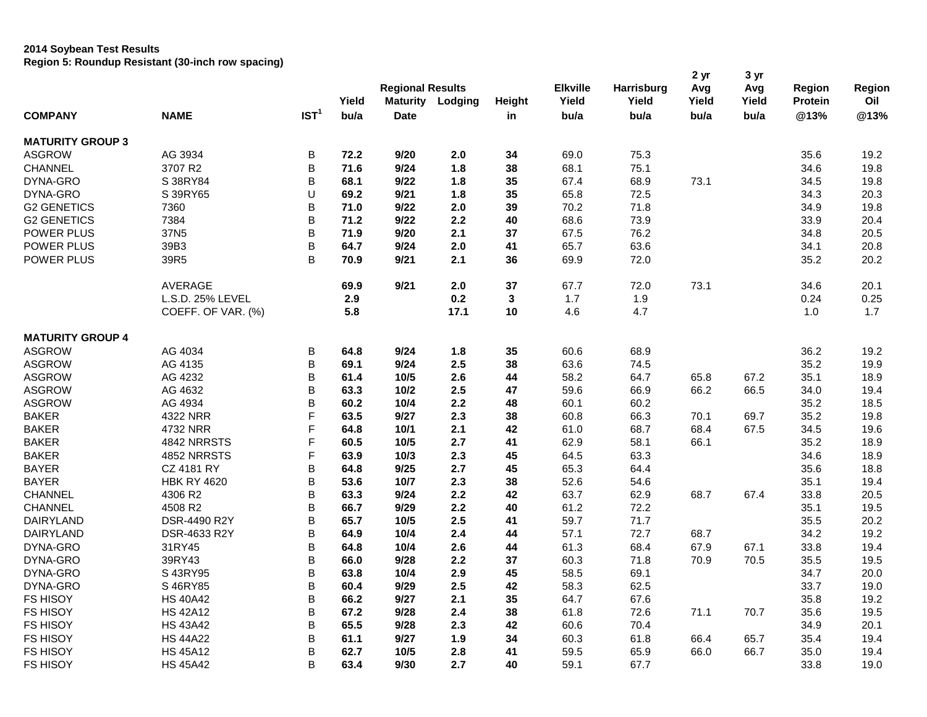## **2014 Soybean Test Results Region 5: Roundup Resistant (30-inch row spacing)**

|                         |                    |                  | Yield | <b>Regional Results</b> | Maturity Lodging | Height       | <b>Elkville</b><br>Yield | <b>Harrisburg</b><br>Yield | 2 <sub>yr</sub><br>Avg<br>Yield | 3 yr<br>Avg<br>Yield | Region<br><b>Protein</b> | Region<br>Oil |
|-------------------------|--------------------|------------------|-------|-------------------------|------------------|--------------|--------------------------|----------------------------|---------------------------------|----------------------|--------------------------|---------------|
| <b>COMPANY</b>          | <b>NAME</b>        | IST <sup>1</sup> | bu/a  | <b>Date</b>             |                  | in           | bu/a                     | bu/a                       | bu/a                            | bu/a                 | @13%                     | @13%          |
| <b>MATURITY GROUP 3</b> |                    |                  |       |                         |                  |              |                          |                            |                                 |                      |                          |               |
| <b>ASGROW</b>           | AG 3934            | $\sf B$          | 72.2  | 9/20                    | 2.0              | 34           | 69.0                     | 75.3                       |                                 |                      | 35.6                     | 19.2          |
| <b>CHANNEL</b>          | 3707 R2            | B                | 71.6  | 9/24                    | 1.8              | 38           | 68.1                     | 75.1                       |                                 |                      | 34.6                     | 19.8          |
| DYNA-GRO                | S 38RY84           | B                | 68.1  | 9/22                    | 1.8              | 35           | 67.4                     | 68.9                       | 73.1                            |                      | 34.5                     | 19.8          |
| DYNA-GRO                | S 39RY65           | U                | 69.2  | 9/21                    | 1.8              | 35           | 65.8                     | 72.5                       |                                 |                      | 34.3                     | 20.3          |
| <b>G2 GENETICS</b>      | 7360               | B                | 71.0  | 9/22                    | 2.0              | 39           | 70.2                     | 71.8                       |                                 |                      | 34.9                     | 19.8          |
| <b>G2 GENETICS</b>      | 7384               | B                | 71.2  | 9/22                    | 2.2              | 40           | 68.6                     | 73.9                       |                                 |                      | 33.9                     | 20.4          |
| POWER PLUS              | 37N <sub>5</sub>   | B                | 71.9  | 9/20                    | 2.1              | 37           | 67.5                     | 76.2                       |                                 |                      | 34.8                     | 20.5          |
| POWER PLUS              | 39B3               | B                | 64.7  | 9/24                    | 2.0              | 41           | 65.7                     | 63.6                       |                                 |                      | 34.1                     | 20.8          |
| POWER PLUS              | 39R5               | B                | 70.9  | 9/21                    | 2.1              | 36           | 69.9                     | 72.0                       |                                 |                      | 35.2                     | 20.2          |
|                         |                    |                  |       |                         |                  |              |                          |                            |                                 |                      |                          |               |
|                         | AVERAGE            |                  | 69.9  | 9/21                    | 2.0              | 37           | 67.7                     | 72.0                       | 73.1                            |                      | 34.6                     | 20.1          |
|                         | L.S.D. 25% LEVEL   |                  | 2.9   |                         | 0.2              | $\mathbf{3}$ | 1.7                      | 1.9                        |                                 |                      | 0.24                     | 0.25          |
|                         | COEFF. OF VAR. (%) |                  | 5.8   |                         | 17.1             | 10           | 4.6                      | 4.7                        |                                 |                      | 1.0                      | 1.7           |
| <b>MATURITY GROUP 4</b> |                    |                  |       |                         |                  |              |                          |                            |                                 |                      |                          |               |
| <b>ASGROW</b>           | AG 4034            | $\sf B$          | 64.8  | 9/24                    | 1.8              | 35           | 60.6                     | 68.9                       |                                 |                      | 36.2                     | 19.2          |
| <b>ASGROW</b>           | AG 4135            | B                | 69.1  | 9/24                    | 2.5              | 38           | 63.6                     | 74.5                       |                                 |                      | 35.2                     | 19.9          |
| <b>ASGROW</b>           | AG 4232            | B                | 61.4  | 10/5                    | 2.6              | 44           | 58.2                     | 64.7                       | 65.8                            | 67.2                 | 35.1                     | 18.9          |
| <b>ASGROW</b>           | AG 4632            | B                | 63.3  | 10/2                    | 2.5              | 47           | 59.6                     | 66.9                       | 66.2                            | 66.5                 | 34.0                     | 19.4          |
| <b>ASGROW</b>           | AG 4934            | B                | 60.2  | 10/4                    | 2.2              | 48           | 60.1                     | 60.2                       |                                 |                      | 35.2                     | 18.5          |
| <b>BAKER</b>            | 4322 NRR           | F                | 63.5  | 9/27                    | 2.3              | 38           | 60.8                     | 66.3                       | 70.1                            | 69.7                 | 35.2                     | 19.8          |
| <b>BAKER</b>            | 4732 NRR           | F                | 64.8  | $10/1$                  | 2.1              | 42           | 61.0                     | 68.7                       | 68.4                            | 67.5                 | 34.5                     | 19.6          |
| <b>BAKER</b>            | 4842 NRRSTS        | F                | 60.5  | 10/5                    | 2.7              | 41           | 62.9                     | 58.1                       | 66.1                            |                      | 35.2                     | 18.9          |
| <b>BAKER</b>            | 4852 NRRSTS        | F                | 63.9  | 10/3                    | 2.3              | 45           | 64.5                     | 63.3                       |                                 |                      | 34.6                     | 18.9          |
| <b>BAYER</b>            | CZ 4181 RY         | B                | 64.8  | 9/25                    | 2.7              | 45           | 65.3                     | 64.4                       |                                 |                      | 35.6                     | 18.8          |
| <b>BAYER</b>            | <b>HBK RY 4620</b> | B                | 53.6  | 10/7                    | 2.3              | 38           | 52.6                     | 54.6                       |                                 |                      | 35.1                     | 19.4          |
| <b>CHANNEL</b>          | 4306 R2            | B                | 63.3  | 9/24                    | 2.2              | 42           | 63.7                     | 62.9                       | 68.7                            | 67.4                 | 33.8                     | 20.5          |
| <b>CHANNEL</b>          | 4508 R2            | B                | 66.7  | 9/29                    | 2.2              | 40           | 61.2                     | 72.2                       |                                 |                      | 35.1                     | 19.5          |
| DAIRYLAND               | DSR-4490 R2Y       | B                | 65.7  | 10/5                    | 2.5              | 41           | 59.7                     | 71.7                       |                                 |                      | 35.5                     | 20.2          |
| DAIRYLAND               | DSR-4633 R2Y       | B                | 64.9  | 10/4                    | 2.4              | 44           | 57.1                     | 72.7                       | 68.7                            |                      | 34.2                     | 19.2          |
| DYNA-GRO                | 31RY45             | B                | 64.8  | 10/4                    | 2.6              | 44           | 61.3                     | 68.4                       | 67.9                            | 67.1                 | 33.8                     | 19.4          |
| DYNA-GRO                | 39RY43             | B                | 66.0  | 9/28                    | 2.2              | 37           | 60.3                     | 71.8                       | 70.9                            | 70.5                 | 35.5                     | 19.5          |
| DYNA-GRO                | S 43RY95           | B                |       |                         | 2.9              | 45           | 58.5                     | 69.1                       |                                 |                      |                          | 20.0          |
|                         |                    | B                | 63.8  | 10/4                    |                  |              |                          |                            |                                 |                      | 34.7                     |               |
| DYNA-GRO                | S 46RY85           |                  | 60.4  | 9/29                    | 2.5              | 42           | 58.3                     | 62.5                       |                                 |                      | 33.7                     | 19.0          |
| <b>FS HISOY</b>         | <b>HS 40A42</b>    | B                | 66.2  | 9/27                    | 2.1              | 35           | 64.7                     | 67.6                       |                                 |                      | 35.8                     | 19.2          |
| <b>FS HISOY</b>         | <b>HS 42A12</b>    | B                | 67.2  | 9/28                    | 2.4              | 38           | 61.8                     | 72.6                       | 71.1                            | 70.7                 | 35.6                     | 19.5          |
| <b>FS HISOY</b>         | <b>HS 43A42</b>    | B                | 65.5  | 9/28                    | 2.3              | 42           | 60.6                     | 70.4                       |                                 |                      | 34.9                     | 20.1          |
| <b>FS HISOY</b>         | <b>HS 44A22</b>    | B                | 61.1  | 9/27                    | 1.9              | 34           | 60.3                     | 61.8                       | 66.4                            | 65.7                 | 35.4                     | 19.4          |
| <b>FS HISOY</b>         | <b>HS 45A12</b>    | B                | 62.7  | 10/5                    | 2.8              | 41           | 59.5                     | 65.9                       | 66.0                            | 66.7                 | 35.0                     | 19.4          |
| <b>FS HISOY</b>         | <b>HS 45A42</b>    | B                | 63.4  | 9/30                    | 2.7              | 40           | 59.1                     | 67.7                       |                                 |                      | 33.8                     | 19.0          |